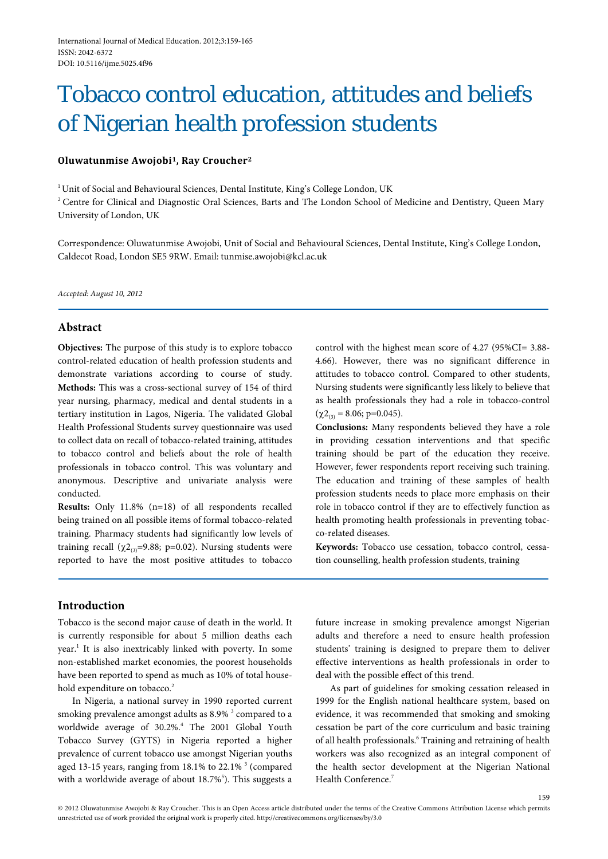# Tobacco control education, attitudes and beliefs of Nigerian health profession students

## **Oluwatunmise Awojobi1, Ray Croucher2**

<sup>1</sup> Unit of Social and Behavioural Sciences, Dental Institute, King's College London, UK

<sup>2</sup> Centre for Clinical and Diagnostic Oral Sciences, Barts and The London School of Medicine and Dentistry, Queen Mary University of London, UK

Correspondence: Oluwatunmise Awojobi, Unit of Social and Behavioural Sciences, Dental Institute, King's College London, Caldecot Road, London SE5 9RW. Email: tunmise.awojobi@kcl.ac.uk

*Accepted: August 10, 2012*

## **Abstract**

**Objectives:** The purpose of this study is to explore tobacco control-related education of health profession students and demonstrate variations according to course of study. **Methods:** This was a cross-sectional survey of 154 of third year nursing, pharmacy, medical and dental students in a tertiary institution in Lagos, Nigeria. The validated Global Health Professional Students survey questionnaire was used to collect data on recall of tobacco-related training, attitudes to tobacco control and beliefs about the role of health professionals in tobacco control. This was voluntary and anonymous. Descriptive and univariate analysis were conducted.

**Results:** Only 11.8% (n=18) of all respondents recalled being trained on all possible items of formal tobacco-related training. Pharmacy students had significantly low levels of training recall ( $\chi2_{(3)} = 9.88$ ; p=0.02). Nursing students were reported to have the most positive attitudes to tobacco

control with the highest mean score of 4.27 (95%CI= 3.88- 4.66). However, there was no significant difference in attitudes to tobacco control. Compared to other students, Nursing students were significantly less likely to believe that as health professionals they had a role in tobacco-control  $(\chi_{{}^{2}_{(3)}}=8.06; p=0.045).$ 

**Conclusions:** Many respondents believed they have a role in providing cessation interventions and that specific training should be part of the education they receive. However, fewer respondents report receiving such training. The education and training of these samples of health profession students needs to place more emphasis on their role in tobacco control if they are to effectively function as health promoting health professionals in preventing tobacco-related diseases.

**Keywords:** Tobacco use cessation, tobacco control, cessation counselling, health profession students, training

## **Introduction**

Tobacco is the second major cause of death in the world. It is currently responsible for about 5 million deaths each year.<sup>1</sup> It is also inextricably linked with poverty. In some non-established market economies, the poorest households have been reported to spend as much as 10% of total household expenditure on tobacco.<sup>2</sup>

In Nigeria, a national survey in 1990 reported current smoking prevalence amongst adults as 8.9%<sup>3</sup> compared to a worldwide average of 30.2%.<sup>4</sup> The 2001 Global Youth Tobacco Survey (GYTS) in Nigeria reported a higher prevalence of current tobacco use amongst Nigerian youths aged 13-15 years, ranging from  $18.1\%$  to  $22.1\%$ <sup>3</sup> (compared with a worldwide average of about 18.7%<sup>5</sup>). This suggests a

future increase in smoking prevalence amongst Nigerian adults and therefore a need to ensure health profession students' training is designed to prepare them to deliver effective interventions as health professionals in order to deal with the possible effect of this trend.

As part of guidelines for smoking cessation released in 1999 for the English national healthcare system, based on evidence, it was recommended that smoking and smoking cessation be part of the core curriculum and basic training of all health professionals.<sup>6</sup> Training and retraining of health workers was also recognized as an integral component of the health sector development at the Nigerian National Health Conference.<sup>7</sup>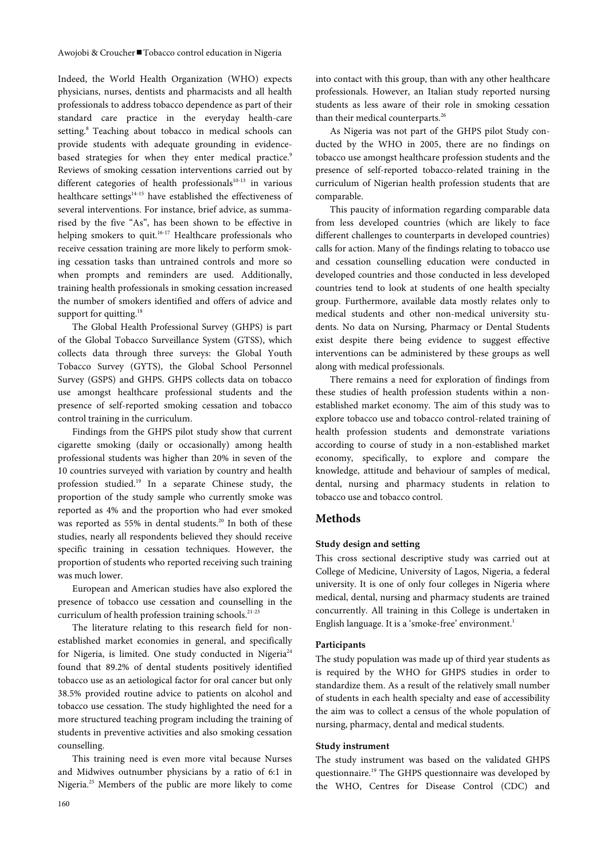Indeed, the World Health Organization (WHO) expects physicians, nurses, dentists and pharmacists and all health professionals to address tobacco dependence as part of their standard care practice in the everyday health-care setting. <sup>8</sup> Teaching about tobacco in medical schools can provide students with adequate grounding in evidencebased strategies for when they enter medical practice.<sup>9</sup> Reviews of smoking cessation interventions carried out by different categories of health professionals $10-13$  in various healthcare settings<sup>14-15</sup> have established the effectiveness of several interventions. For instance, brief advice, as summarised by the five "As", has been shown to be effective in helping smokers to quit.<sup>16-17</sup> Healthcare professionals who receive cessation training are more likely to perform smoking cessation tasks than untrained controls and more so when prompts and reminders are used. Additionally, training health professionals in smoking cessation increased the number of smokers identified and offers of advice and support for quitting.<sup>18</sup>

The Global Health Professional Survey (GHPS) is part of the Global Tobacco Surveillance System (GTSS), which collects data through three surveys: the Global Youth Tobacco Survey (GYTS), the Global School Personnel Survey (GSPS) and GHPS. GHPS collects data on tobacco use amongst healthcare professional students and the presence of self-reported smoking cessation and tobacco control training in the curriculum.

Findings from the GHPS pilot study show that current cigarette smoking (daily or occasionally) among health professional students was higher than 20% in seven of the 10 countries surveyed with variation by country and health profession studied.19 In a separate Chinese study, the proportion of the study sample who currently smoke was reported as 4% and the proportion who had ever smoked was reported as 55% in dental students.<sup>20</sup> In both of these studies, nearly all respondents believed they should receive specific training in cessation techniques. However, the proportion of students who reported receiving such training was much lower.

European and American studies have also explored the presence of tobacco use cessation and counselling in the curriculum of health profession training schools.<sup>21-23</sup>

The literature relating to this research field for nonestablished market economies in general, and specifically for Nigeria, is limited. One study conducted in Nigeria<sup>24</sup> found that 89.2% of dental students positively identified tobacco use as an aetiological factor for oral cancer but only 38.5% provided routine advice to patients on alcohol and tobacco use cessation. The study highlighted the need for a more structured teaching program including the training of students in preventive activities and also smoking cessation counselling.

This training need is even more vital because Nurses and Midwives outnumber physicians by a ratio of 6:1 in Nigeria.<sup>25</sup> Members of the public are more likely to come into contact with this group, than with any other healthcare professionals. However, an Italian study reported nursing students as less aware of their role in smoking cessation than their medical counterparts.<sup>26</sup>

As Nigeria was not part of the GHPS pilot Study conducted by the WHO in 2005, there are no findings on tobacco use amongst healthcare profession students and the presence of self-reported tobacco-related training in the curriculum of Nigerian health profession students that are comparable.

This paucity of information regarding comparable data from less developed countries (which are likely to face different challenges to counterparts in developed countries) calls for action. Many of the findings relating to tobacco use and cessation counselling education were conducted in developed countries and those conducted in less developed countries tend to look at students of one health specialty group. Furthermore, available data mostly relates only to medical students and other non-medical university students. No data on Nursing, Pharmacy or Dental Students exist despite there being evidence to suggest effective interventions can be administered by these groups as well along with medical professionals.

There remains a need for exploration of findings from these studies of health profession students within a nonestablished market economy. The aim of this study was to explore tobacco use and tobacco control-related training of health profession students and demonstrate variations according to course of study in a non-established market economy, specifically, to explore and compare the knowledge, attitude and behaviour of samples of medical, dental, nursing and pharmacy students in relation to tobacco use and tobacco control.

## **Methods**

#### **Study design and setting**

This cross sectional descriptive study was carried out at College of Medicine, University of Lagos, Nigeria, a federal university. It is one of only four colleges in Nigeria where medical, dental, nursing and pharmacy students are trained concurrently. All training in this College is undertaken in English language. It is a 'smoke-free' environment.<sup>1</sup>

#### **Participants**

The study population was made up of third year students as is required by the WHO for GHPS studies in order to standardize them. As a result of the relatively small number of students in each health specialty and ease of accessibility the aim was to collect a census of the whole population of nursing, pharmacy, dental and medical students.

#### **Study instrument**

The study instrument was based on the validated GHPS questionnaire.<sup>19</sup> The GHPS questionnaire was developed by the WHO, Centres for Disease Control (CDC) and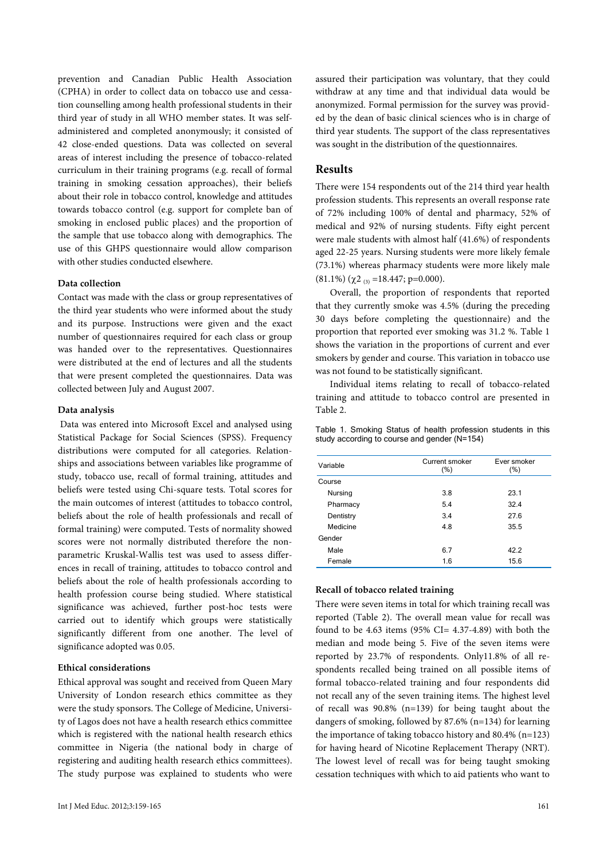prevention and Canadian Public Health Association (CPHA) in order to collect data on tobacco use and cessation counselling among health professional students in their third year of study in all WHO member states. It was selfadministered and completed anonymously; it consisted of 42 close-ended questions. Data was collected on several areas of interest including the presence of tobacco-related curriculum in their training programs (e.g. recall of formal training in smoking cessation approaches), their beliefs about their role in tobacco control, knowledge and attitudes towards tobacco control (e.g. support for complete ban of smoking in enclosed public places) and the proportion of the sample that use tobacco along with demographics. The use of this GHPS questionnaire would allow comparison with other studies conducted elsewhere.

#### **Data collection**

Contact was made with the class or group representatives of the third year students who were informed about the study and its purpose. Instructions were given and the exact number of questionnaires required for each class or group was handed over to the representatives. Questionnaires were distributed at the end of lectures and all the students that were present completed the questionnaires. Data was collected between July and August 2007.

#### **Data analysis**

Data was entered into Microsoft Excel and analysed using Statistical Package for Social Sciences (SPSS). Frequency distributions were computed for all categories. Relationships and associations between variables like programme of study, tobacco use, recall of formal training, attitudes and beliefs were tested using Chi-square tests. Total scores for the main outcomes of interest (attitudes to tobacco control, beliefs about the role of health professionals and recall of formal training) were computed. Tests of normality showed scores were not normally distributed therefore the nonparametric Kruskal-Wallis test was used to assess differences in recall of training, attitudes to tobacco control and beliefs about the role of health professionals according to health profession course being studied. Where statistical significance was achieved, further post-hoc tests were carried out to identify which groups were statistically significantly different from one another. The level of significance adopted was 0.05.

## **Ethical considerations**

Ethical approval was sought and received from Queen Mary University of London research ethics committee as they were the study sponsors. The College of Medicine, University of Lagos does not have a health research ethics committee which is registered with the national health research ethics committee in Nigeria (the national body in charge of registering and auditing health research ethics committees). The study purpose was explained to students who were

assured their participation was voluntary, that they could withdraw at any time and that individual data would be anonymized. Formal permission for the survey was provided by the dean of basic clinical sciences who is in charge of third year students. The support of the class representatives was sought in the distribution of the questionnaires.

## **Results**

There were 154 respondents out of the 214 third year health profession students. This represents an overall response rate of 72% including 100% of dental and pharmacy, 52% of medical and 92% of nursing students. Fifty eight percent were male students with almost half (41.6%) of respondents aged 22-25 years. Nursing students were more likely female (73.1%) whereas pharmacy students were more likely male (81.1%) ( $\chi$ 2<sub>(3)</sub> =18.447; p=0.000).

Overall, the proportion of respondents that reported that they currently smoke was 4.5% (during the preceding 30 days before completing the questionnaire) and the proportion that reported ever smoking was 31.2 %. Table 1 shows the variation in the proportions of current and ever smokers by gender and course. This variation in tobacco use was not found to be statistically significant.

Individual items relating to recall of tobacco-related training and attitude to tobacco control are presented in Table 2.

Table 1. Smoking Status of health profession students in this study according to course and gender (N=154)

| Variable  | Current smoker<br>(%) | Ever smoker<br>(% ) |  |
|-----------|-----------------------|---------------------|--|
| Course    |                       |                     |  |
| Nursing   | 3.8                   | 23.1                |  |
| Pharmacy  | 5.4                   | 32.4                |  |
| Dentistry | 3.4                   | 27.6                |  |
| Medicine  | 4.8                   | 35.5                |  |
| Gender    |                       |                     |  |
| Male      | 6.7                   | 42.2                |  |
| Female    | 1.6                   | 15.6                |  |

## **Recall of tobacco related training**

There were seven items in total for which training recall was reported (Table 2). The overall mean value for recall was found to be  $4.63$  items (95% CI=  $4.37-4.89$ ) with both the median and mode being 5. Five of the seven items were reported by 23.7% of respondents. Only11.8% of all respondents recalled being trained on all possible items of formal tobacco-related training and four respondents did not recall any of the seven training items. The highest level of recall was 90.8% (n=139) for being taught about the dangers of smoking, followed by 87.6% (n=134) for learning the importance of taking tobacco history and 80.4% (n=123) for having heard of Nicotine Replacement Therapy (NRT). The lowest level of recall was for being taught smoking cessation techniques with which to aid patients who want to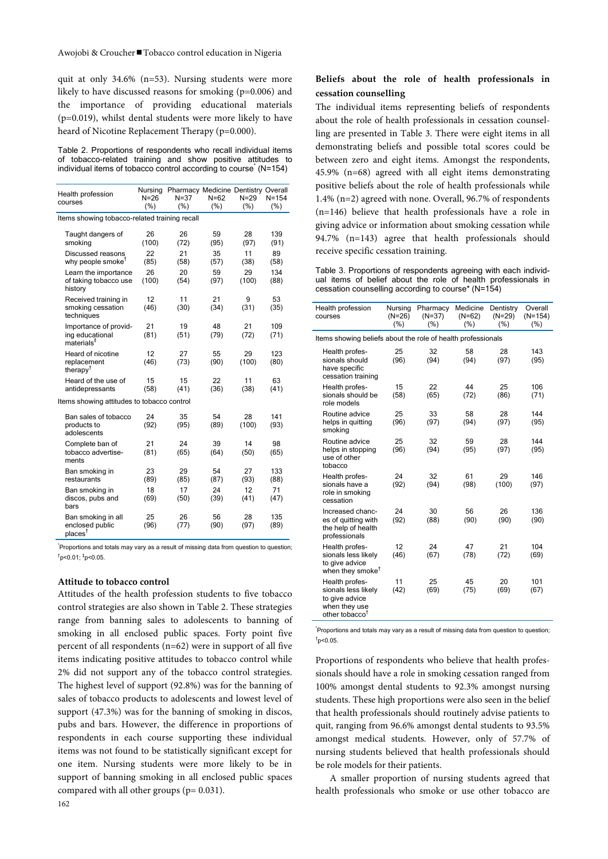quit at only 34.6% (n=53). Nursing students were more likely to have discussed reasons for smoking (p=0.006) and the importance of providing educational materials (p=0.019), whilst dental students were more likely to have heard of Nicotine Replacement Therapy (p=0.000).

Table 2. Proportions of respondents who recall individual items of tobacco-related training and show positive attitudes to individual items of tobacco control according to course  $(N=154)$ 

| Health profession<br>courses                                                 | Nursing<br>$N = 26$<br>(% ) | Pharmacy Medicine Dentistry Overall<br>$N = 37$<br>(%) | $N = 62$<br>(%) | $N = 29$<br>(%) | $N = 154$<br>(%) |
|------------------------------------------------------------------------------|-----------------------------|--------------------------------------------------------|-----------------|-----------------|------------------|
| Items showing tobacco-related training recall                                |                             |                                                        |                 |                 |                  |
| Taught dangers of<br>smoking                                                 | 26<br>(100)                 | 26<br>(72)                                             | 59<br>(95)      | 28<br>(97)      | 139<br>(91)      |
| Discussed reasons<br>why people smoke <sup>T</sup>                           | 22<br>(85)                  | 21<br>(58)                                             | 35<br>(57)      | 11<br>(38)      | 89<br>(58)       |
| Learn the importance<br>of taking tobacco use<br>history                     | 26<br>(100)                 | 20<br>(54)                                             | 59<br>(97)      | 29<br>(100)     | 134<br>(88)      |
| Received training in<br>smoking cessation<br>techniques                      | 12<br>(46)                  | 11<br>(30)                                             | 21<br>(34)      | 9<br>(31)       | 53<br>(35)       |
| Importance of provid-<br>ing educational<br>$m$ aterials <sup>#</sup>        | 21<br>(81)                  | 19<br>(51)                                             | 48<br>(79)      | 21<br>(72)      | 109<br>(71)      |
| Heard of nicotine<br>replacement<br>therapy <sup><math>\uparrow</math></sup> | 12<br>(46)                  | 27<br>(73)                                             | 55<br>(90)      | 29<br>(100)     | 123<br>(80)      |
| Heard of the use of<br>antidepressants                                       | 15<br>(58)                  | 15<br>(41)                                             | 22<br>(36)      | 11<br>(38)      | 63<br>(41)       |
| Items showing attitudes to tobacco control                                   |                             |                                                        |                 |                 |                  |
| Ban sales of tobacco<br>products to<br>adolescents                           | 24<br>(92)                  | 35<br>(95)                                             | 54<br>(89)      | 28<br>(100)     | 141<br>(93)      |
| Complete ban of<br>tobacco advertise-<br>ments                               | 21<br>(81)                  | 24<br>(65)                                             | 39<br>(64)      | 14<br>(50)      | 98<br>(65)       |
| Ban smoking in<br>restaurants                                                | 23<br>(89)                  | 29<br>(85)                                             | 54<br>(87)      | 27<br>(93)      | 133<br>(88)      |
| Ban smoking in<br>discos, pubs and<br>bars                                   | 18<br>(69)                  | 17<br>(50)                                             | 24<br>(39)      | 12<br>(41)      | 71<br>(47)       |
| Ban smoking in all<br>enclosed public<br>place <sup>†</sup>                  | 25<br>(96)                  | 26<br>(77)                                             | 56<br>(90)      | 28<br>(97)      | 135<br>(89)      |

\* Proportions and totals may vary as a result of missing data from question to question;  $\frac{1}{2}$ p<0.01;  $\frac{1}{2}$ p<0.05.

#### **Attitude to tobacco control**

Attitudes of the health profession students to five tobacco control strategies are also shown in Table 2. These strategies range from banning sales to adolescents to banning of smoking in all enclosed public spaces. Forty point five percent of all respondents (n=62) were in support of all five items indicating positive attitudes to tobacco control while 2% did not support any of the tobacco control strategies. The highest level of support (92.8%) was for the banning of sales of tobacco products to adolescents and lowest level of support (47.3%) was for the banning of smoking in discos, pubs and bars. However, the difference in proportions of respondents in each course supporting these individual items was not found to be statistically significant except for one item. Nursing students were more likely to be in support of banning smoking in all enclosed public spaces compared with all other groups  $(p= 0.031)$ .

# **Beliefs about the role of health professionals in cessation counselling**

The individual items representing beliefs of respondents about the role of health professionals in cessation counselling are presented in Table 3. There were eight items in all demonstrating beliefs and possible total scores could be between zero and eight items. Amongst the respondents, 45.9% (n=68) agreed with all eight items demonstrating positive beliefs about the role of health professionals while 1.4% (n=2) agreed with none. Overall, 96.7% of respondents (n=146) believe that health professionals have a role in giving advice or information about smoking cessation while 94.7% (n=143) agree that health professionals should receive specific cessation training.

Table 3. Proportions of respondents agreeing with each individual items of belief about the role of health professionals in cessation counselling according to course\* (N=154)

| Health profession<br>courses                                                                           | Nursing<br>$(N=26)$<br>(%) | Pharmacy<br>$(N=37)$<br>(% ) | Medicine<br>$(N=62)$<br>(% ) | Dentistry<br>$(N=29)$<br>(% ) | Overall<br>$(N=154)$<br>(%) |
|--------------------------------------------------------------------------------------------------------|----------------------------|------------------------------|------------------------------|-------------------------------|-----------------------------|
| Items showing beliefs about the role of health professionals                                           |                            |                              |                              |                               |                             |
| Health profes-<br>sionals should<br>have specific<br>cessation training                                | 25<br>(96)                 | 32<br>(94)                   | 58<br>(94)                   | 28<br>(97)                    | 143<br>(95)                 |
| Health profes-<br>sionals should be<br>role models                                                     | 15<br>(58)                 | 22<br>(65)                   | 44<br>(72)                   | 25<br>(86)                    | 106<br>(71)                 |
| Routine advice<br>helps in quitting<br>smoking                                                         | 25<br>(96)                 | 33<br>(97)                   | 58<br>(94)                   | 28<br>(97)                    | 144<br>(95)                 |
| Routine advice<br>helps in stopping<br>use of other<br>tobacco                                         | 25<br>(96)                 | 32<br>(94)                   | 59<br>(95)                   | 28<br>(97)                    | 144<br>(95)                 |
| Health profes-<br>sionals have a<br>role in smoking<br>cessation                                       | 24<br>(92)                 | 32<br>(94)                   | 61<br>(98)                   | 29<br>(100)                   | 146<br>(97)                 |
| Increased chanc-<br>es of quitting with<br>the help of health<br>professionals                         | 24<br>(92)                 | 30<br>(88)                   | 56<br>(90)                   | 26<br>(90)                    | 136<br>(90)                 |
| Health profes-<br>sionals less likely<br>to give advice<br>when they smoke <sup>T</sup>                | 12<br>(46)                 | 24<br>(67)                   | 47<br>(78)                   | 21<br>(72)                    | 104<br>(69)                 |
| Health profes-<br>sionals less likely<br>to give advice<br>when they use<br>other tobacco <sup>t</sup> | 11<br>(42)                 | 25<br>(69)                   | 45<br>(75)                   | 20<br>(69)                    | 101<br>(67)                 |

\* Proportions and totals may vary as a result of missing data from question to question;  $<sub>1</sub>$  p<0.05.</sub>

Proportions of respondents who believe that health professionals should have a role in smoking cessation ranged from 100% amongst dental students to 92.3% amongst nursing students. These high proportions were also seen in the belief that health professionals should routinely advise patients to quit, ranging from 96.6% amongst dental students to 93.5% amongst medical students. However, only of 57.7% of nursing students believed that health professionals should be role models for their patients.

A smaller proportion of nursing students agreed that health professionals who smoke or use other tobacco are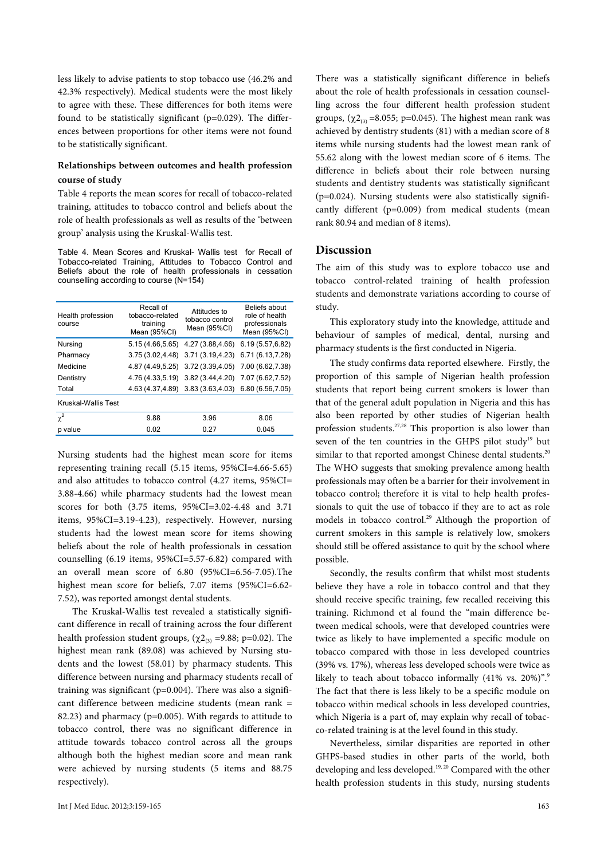less likely to advise patients to stop tobacco use (46.2% and 42.3% respectively). Medical students were the most likely to agree with these. These differences for both items were found to be statistically significant (p=0.029). The differences between proportions for other items were not found to be statistically significant.

## **Relationships between outcomes and health profession course of study**

Table 4 reports the mean scores for recall of tobacco-related training, attitudes to tobacco control and beliefs about the role of health professionals as well as results of the 'between group' analysis using the Kruskal-Wallis test.

Table 4. Mean Scores and Kruskal- Wallis test for Recall of Tobacco-related Training, Attitudes to Tobacco Control and Beliefs about the role of health professionals in cessation counselling according to course (N=154)

| Health profession<br>course | Recall of<br>tobacco-related<br>training<br>Mean (95%CI) | Attitudes to<br>tobacco control<br>Mean (95%CI)       | Beliefs about<br>role of health<br>professionals<br>Mean (95%CI) |
|-----------------------------|----------------------------------------------------------|-------------------------------------------------------|------------------------------------------------------------------|
| Nursing                     | 5.15 (4.66,5.65)                                         | 4.27 (3.88,4.66)                                      | 6.19(5.57, 6.82)                                                 |
| Pharmacy                    |                                                          | 3.75 (3.02,4.48) 3.71 (3.19,4.23) 6.71 (6.13,7.28)    |                                                                  |
| Medicine                    |                                                          | 4.87 (4.49,5.25) 3.72 (3.39,4.05) 7.00 (6.62,7.38)    |                                                                  |
| Dentistry                   |                                                          | 4.76 (4.33,5.19) 3.82 (3.44,4.20) 7.07 (6.62,7.52)    |                                                                  |
| Total                       |                                                          | 4.63 (4.37, 4.89) 3.83 (3.63, 4.03) 6.80 (6.56, 7.05) |                                                                  |
| Kruskal-Wallis Test         |                                                          |                                                       |                                                                  |
| $\chi^2$                    | 9.88                                                     | 3.96                                                  | 8.06                                                             |
| p value                     | 0.02                                                     | 0.27                                                  | 0.045                                                            |
|                             |                                                          |                                                       |                                                                  |

Nursing students had the highest mean score for items representing training recall (5.15 items, 95%CI=4.66-5.65) and also attitudes to tobacco control (4.27 items, 95%CI= 3.88-4.66) while pharmacy students had the lowest mean scores for both (3.75 items, 95%CI=3.02-4.48 and 3.71 items, 95%CI=3.19-4.23), respectively. However, nursing students had the lowest mean score for items showing beliefs about the role of health professionals in cessation counselling (6.19 items, 95%CI=5.57-6.82) compared with an overall mean score of 6.80 (95%CI=6.56-7.05).The highest mean score for beliefs, 7.07 items (95%CI=6.62- 7.52), was reported amongst dental students.

The Kruskal-Wallis test revealed a statistically significant difference in recall of training across the four different health profession student groups, ( $\chi$ 2<sub>(3)</sub> =9.88; p=0.02). The highest mean rank (89.08) was achieved by Nursing students and the lowest (58.01) by pharmacy students. This difference between nursing and pharmacy students recall of training was significant ( $p=0.004$ ). There was also a significant difference between medicine students (mean rank = 82.23) and pharmacy (p=0.005). With regards to attitude to tobacco control, there was no significant difference in attitude towards tobacco control across all the groups although both the highest median score and mean rank were achieved by nursing students (5 items and 88.75 respectively).

There was a statistically significant difference in beliefs about the role of health professionals in cessation counselling across the four different health profession student groups,  $(\chi_2)_{(3)} = 8.055$ ; p=0.045). The highest mean rank was achieved by dentistry students (81) with a median score of 8 items while nursing students had the lowest mean rank of 55.62 along with the lowest median score of 6 items. The difference in beliefs about their role between nursing students and dentistry students was statistically significant  $(p=0.024)$ . Nursing students were also statistically significantly different (p=0.009) from medical students (mean rank 80.94 and median of 8 items).

# **Discussion**

The aim of this study was to explore tobacco use and tobacco control-related training of health profession students and demonstrate variations according to course of study.

This exploratory study into the knowledge, attitude and behaviour of samples of medical, dental, nursing and pharmacy students is the first conducted in Nigeria.

The study confirms data reported elsewhere. Firstly, the proportion of this sample of Nigerian health profession students that report being current smokers is lower than that of the general adult population in Nigeria and this has also been reported by other studies of Nigerian health profession students.27,28 This proportion is also lower than seven of the ten countries in the GHPS pilot study<sup>19</sup> but similar to that reported amongst Chinese dental students.<sup>20</sup> The WHO suggests that smoking prevalence among health professionals may often be a barrier for their involvement in tobacco control; therefore it is vital to help health professionals to quit the use of tobacco if they are to act as role models in tobacco control.<sup>29</sup> Although the proportion of current smokers in this sample is relatively low, smokers should still be offered assistance to quit by the school where possible.

Secondly, the results confirm that whilst most students believe they have a role in tobacco control and that they should receive specific training, few recalled receiving this training. Richmond et al found the "main difference between medical schools, were that developed countries were twice as likely to have implemented a specific module on tobacco compared with those in less developed countries (39% vs. 17%), whereas less developed schools were twice as likely to teach about tobacco informally (41% vs. 20%)".<sup>9</sup> The fact that there is less likely to be a specific module on tobacco within medical schools in less developed countries, which Nigeria is a part of, may explain why recall of tobacco-related training is at the level found in this study.

Nevertheless, similar disparities are reported in other GHPS-based studies in other parts of the world, both developing and less developed.<sup>19, 20</sup> Compared with the other health profession students in this study, nursing students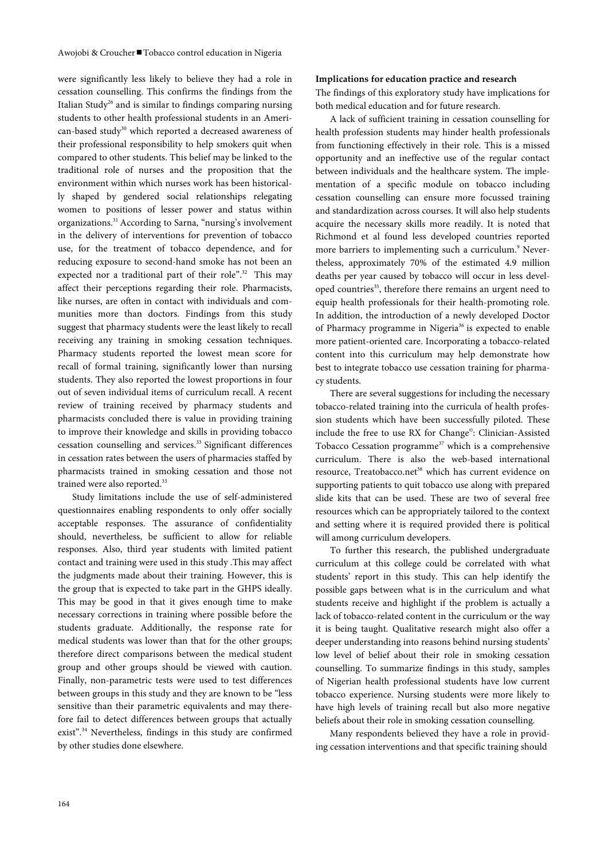were significantly less likely to believe they had a role in cessation counselling. This confirms the findings from the Italian Study<sup>26</sup> and is similar to findings comparing nursing students to other health professional students in an American-based study<sup>30</sup> which reported a decreased awareness of their professional responsibility to help smokers quit when compared to other students. This belief may be linked to the traditional role of nurses and the proposition that the environment within which nurses work has been historically shaped by gendered social relationships relegating women to positions of lesser power and status within organizations.<sup>31</sup> According to Sarna, "nursing's involvement in the delivery of interventions for prevention of tobacco use, for the treatment of tobacco dependence, and for reducing exposure to second-hand smoke has not been an expected nor a traditional part of their role".<sup>32</sup> This may affect their perceptions regarding their role. Pharmacists, like nurses, are often in contact with individuals and communities more than doctors. Findings from this study suggest that pharmacy students were the least likely to recall receiving any training in smoking cessation techniques. Pharmacy students reported the lowest mean score for recall of formal training, significantly lower than nursing students. They also reported the lowest proportions in four out of seven individual items of curriculum recall. A recent review of training received by pharmacy students and pharmacists concluded there is value in providing training to improve their knowledge and skills in providing tobacco cessation counselling and services.<sup>33</sup> Significant differences in cessation rates between the users of pharmacies staffed by pharmacists trained in smoking cessation and those not trained were also reported.<sup>33</sup>

Study limitations include the use of self-administered questionnaires enabling respondents to only offer socially acceptable responses. The assurance of confidentiality should, nevertheless, be sufficient to allow for reliable responses. Also, third year students with limited patient contact and training were used in this study .This may affect the judgments made about their training. However, this is the group that is expected to take part in the GHPS ideally. This may be good in that it gives enough time to make necessary corrections in training where possible before the students graduate. Additionally, the response rate for medical students was lower than that for the other groups; therefore direct comparisons between the medical student group and other groups should be viewed with caution. Finally, non-parametric tests were used to test differences between groups in this study and they are known to be "less sensitive than their parametric equivalents and may therefore fail to detect differences between groups that actually exist".<sup>34</sup> Nevertheless, findings in this study are confirmed by other studies done elsewhere.

## **Implications for education practice and research**

The findings of this exploratory study have implications for both medical education and for future research.

A lack of sufficient training in cessation counselling for health profession students may hinder health professionals from functioning effectively in their role. This is a missed opportunity and an ineffective use of the regular contact between individuals and the healthcare system. The implementation of a specific module on tobacco including cessation counselling can ensure more focussed training and standardization across courses. It will also help students acquire the necessary skills more readily. It is noted that Richmond et al found less developed countries reported more barriers to implementing such a curriculum.<sup>9</sup> Nevertheless, approximately 70% of the estimated 4.9 million deaths per year caused by tobacco will occur in less developed countries<sup>35</sup>, therefore there remains an urgent need to equip health professionals for their health-promoting role. In addition, the introduction of a newly developed Doctor of Pharmacy programme in Nigeria<sup>36</sup> is expected to enable more patient-oriented care. Incorporating a tobacco-related content into this curriculum may help demonstrate how best to integrate tobacco use cessation training for pharmacy students.

There are several suggestions for including the necessary tobacco-related training into the curricula of health profession students which have been successfully piloted. These include the free to use RX for Change© : Clinician-Assisted Tobacco Cessation programme<sup>37</sup> which is a comprehensive curriculum. There is also the web-based international resource, Treatobacco.net<sup>38</sup> which has current evidence on supporting patients to quit tobacco use along with prepared slide kits that can be used. These are two of several free resources which can be appropriately tailored to the context and setting where it is required provided there is political will among curriculum developers.

To further this research, the published undergraduate curriculum at this college could be correlated with what students' report in this study. This can help identify the possible gaps between what is in the curriculum and what students receive and highlight if the problem is actually a lack of tobacco-related content in the curriculum or the way it is being taught. Qualitative research might also offer a deeper understanding into reasons behind nursing students' low level of belief about their role in smoking cessation counselling. To summarize findings in this study, samples of Nigerian health professional students have low current tobacco experience. Nursing students were more likely to have high levels of training recall but also more negative beliefs about their role in smoking cessation counselling.

Many respondents believed they have a role in providing cessation interventions and that specific training should